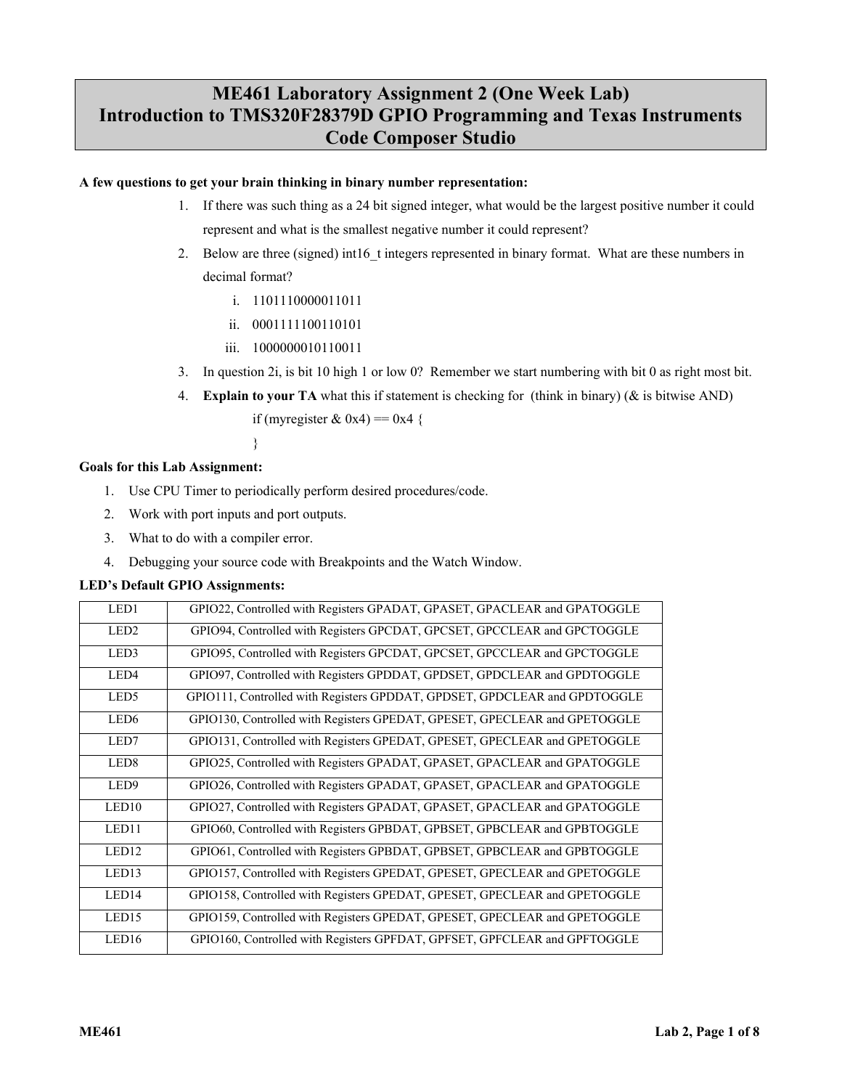# **ME461 Laboratory Assignment 2 (One Week Lab) Introduction to TMS320F28379D GPIO Programming and Texas Instruments Code Composer Studio**

# **A few questions to get your brain thinking in binary number representation:**

- 1. If there was such thing as a 24 bit signed integer, what would be the largest positive number it could represent and what is the smallest negative number it could represent?
- 2. Below are three (signed) int16 t integers represented in binary format. What are these numbers in decimal format?
	- i. 1101110000011011
	- ii. 0001111100110101
	- iii. 1000000010110011
- 3. In question 2i, is bit 10 high 1 or low 0? Remember we start numbering with bit 0 as right most bit.
- 4. **Explain to your TA** what this if statement is checking for (think in binary) (& is bitwise AND)

if (myregister & 0x4) =  $0x4$  {

}

# **Goals for this Lab Assignment:**

- 1. Use CPU Timer to periodically perform desired procedures/code.
- 2. Work with port inputs and port outputs.
- 3. What to do with a compiler error.
- 4. Debugging your source code with Breakpoints and the Watch Window.

# **LED's Default GPIO Assignments:**

| LED1              | GPIO22, Controlled with Registers GPADAT, GPASET, GPACLEAR and GPATOGGLE  |
|-------------------|---------------------------------------------------------------------------|
| LED <sub>2</sub>  | GPIO94, Controlled with Registers GPCDAT, GPCSET, GPCCLEAR and GPCTOGGLE  |
| LED3              | GPIO95, Controlled with Registers GPCDAT, GPCSET, GPCCLEAR and GPCTOGGLE  |
| LED4              | GPIO97, Controlled with Registers GPDDAT, GPDSET, GPDCLEAR and GPDTOGGLE  |
| LED <sub>5</sub>  | GPIO111, Controlled with Registers GPDDAT, GPDSET, GPDCLEAR and GPDTOGGLE |
| LED <sub>6</sub>  | GPIO130, Controlled with Registers GPEDAT, GPESET, GPECLEAR and GPETOGGLE |
| LED7              | GPIO131, Controlled with Registers GPEDAT, GPESET, GPECLEAR and GPETOGGLE |
| LED <sub>8</sub>  | GPIO25, Controlled with Registers GPADAT, GPASET, GPACLEAR and GPATOGGLE  |
| LED <sub>9</sub>  | GPIO26, Controlled with Registers GPADAT, GPASET, GPACLEAR and GPATOGGLE  |
| LED10             | GPIO27, Controlled with Registers GPADAT, GPASET, GPACLEAR and GPATOGGLE  |
| LED11             | GPIO60, Controlled with Registers GPBDAT, GPBSET, GPBCLEAR and GPBTOGGLE  |
| LED <sub>12</sub> | GPIO61, Controlled with Registers GPBDAT, GPBSET, GPBCLEAR and GPBTOGGLE  |
| LED13             | GPIO157, Controlled with Registers GPEDAT, GPESET, GPECLEAR and GPETOGGLE |
| LED14             | GPIO158, Controlled with Registers GPEDAT, GPESET, GPECLEAR and GPETOGGLE |
| LED <sub>15</sub> | GPIO159, Controlled with Registers GPEDAT, GPESET, GPECLEAR and GPETOGGLE |
| LED16             | GPIO160, Controlled with Registers GPFDAT, GPFSET, GPFCLEAR and GPFTOGGLE |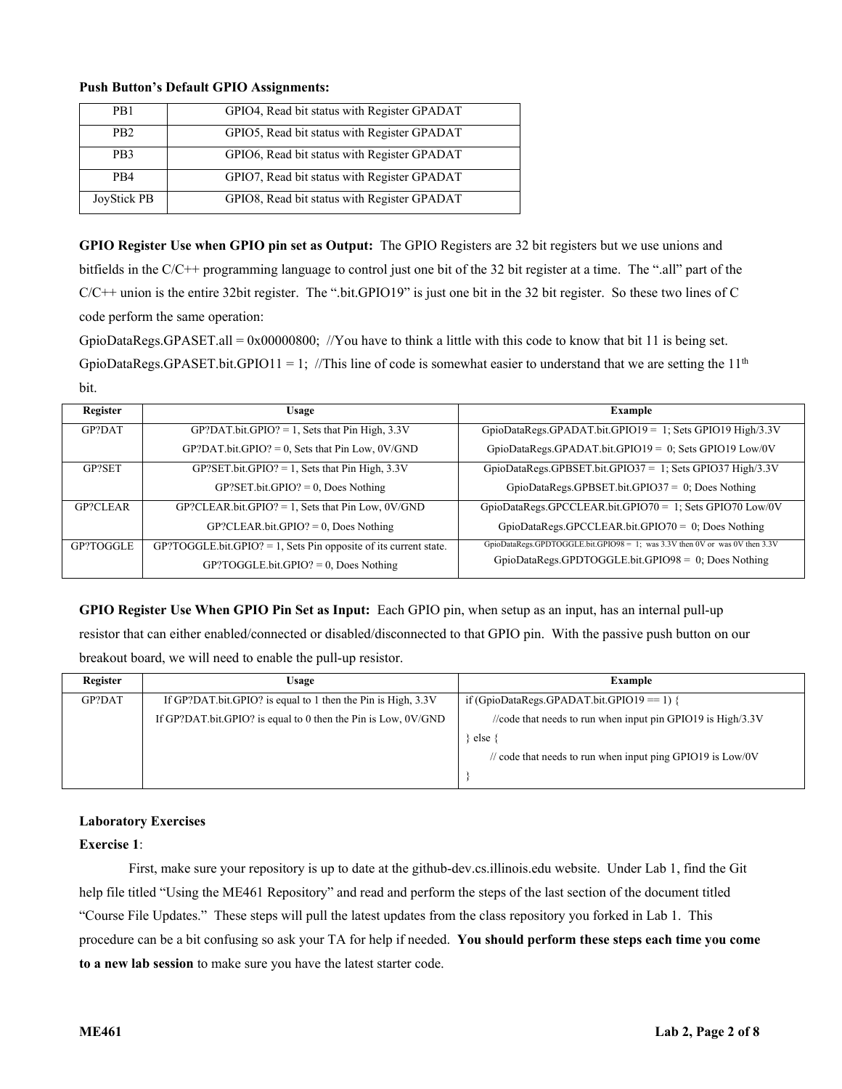## **Push Button's Default GPIO Assignments:**

| P <sub>R1</sub>  | GPIO4, Read bit status with Register GPADAT |
|------------------|---------------------------------------------|
| PB <sub>2</sub>  | GPIO5, Read bit status with Register GPADAT |
| P <sub>B</sub> 3 | GPIO6, Read bit status with Register GPADAT |
| P <sub>R4</sub>  | GPIO7, Read bit status with Register GPADAT |
| JoyStick PB      | GPIO8, Read bit status with Register GPADAT |

**GPIO Register Use when GPIO pin set as Output:** The GPIO Registers are 32 bit registers but we use unions and bitfields in the C/C++ programming language to control just one bit of the 32 bit register at a time. The ".all" part of the  $C/C++$  union is the entire 32bit register. The ".bit.GPIO19" is just one bit in the 32 bit register. So these two lines of C code perform the same operation:

GpioDataRegs.GPASET.all = 0x00000800; //You have to think a little with this code to know that bit 11 is being set. GpioDataRegs.GPASET.bit.GPIO11 = 1; //This line of code is somewhat easier to understand that we are setting the  $11<sup>th</sup>$ bit.

| Register  | Usage                                                               | Example                                                                     |
|-----------|---------------------------------------------------------------------|-----------------------------------------------------------------------------|
| GP?DAT    | $GP?$ DAT.bit. $GPIO? = 1$ , Sets that Pin High, 3.3V               | GpioDataRegs.GPADAT.bit.GPIO19 = 1; Sets GPIO19 High/3.3V                   |
|           | $GP?DAT.bit.GPIO? = 0$ , Sets that Pin Low, $0V/GND$                | GpioDataRegs.GPADAT.bit.GPIO19 = 0; Sets GPIO19 Low/0V                      |
| GP?SET    | $GP?SET.bit.GPIO? = 1$ , Sets that Pin High, 3.3V                   | GpioDataRegs.GPBSET.bit.GPIO37 = 1; Sets GPIO37 High/3.3V                   |
|           | $GP?SET.bit.GPIO? = 0$ , Does Nothing                               | GpioDataRegs.GPBSET.bit.GPIO37 = $0$ ; Does Nothing                         |
| GP?CLEAR  | $GP?CLEAR.bit.GPIO? = 1$ , Sets that Pin Low, $0V/GND$              | GpioDataRegs.GPCCLEAR.bit.GPIO70 = 1; Sets GPIO70 Low/0V                    |
|           | $GP?CLEAR.bit.GPIO? = 0, Does Nothing$                              | GpioDataRegs.GPCCLEAR.bit.GPIO70 = $0$ ; Does Nothing                       |
| GP?TOGGLE | $GP?TOGGLE.bit.GPIO? = 1$ , Sets Pin opposite of its current state. | GpioDataRegs.GPDTOGGLE.bit.GPIO98 = 1; was 3.3V then 0V or was 0V then 3.3V |
|           | $GP?TOGGLE.bit.GPIO? = 0$ , Does Nothing                            | GpioDataRegs.GPDTOGGLE.bit.GPIO98 = $0$ ; Does Nothing                      |

**GPIO Register Use When GPIO Pin Set as Input:** Each GPIO pin, when setup as an input, has an internal pull-up resistor that can either enabled/connected or disabled/disconnected to that GPIO pin. With the passive push button on our breakout board, we will need to enable the pull-up resistor.

| Register | Usage                                                           | Example                                                       |
|----------|-----------------------------------------------------------------|---------------------------------------------------------------|
| GP?DAT   | If GP?DAT.bit.GPIO? is equal to 1 then the Pin is High, 3.3V    | if (GpioDataRegs.GPADAT.bit.GPIO19 == 1) {                    |
|          | If GP?DAT.bit.GPIO? is equal to 0 then the Pin is Low, $0V/GND$ | //code that needs to run when input pin GPIO19 is $High/3.3V$ |
|          |                                                                 | else                                                          |
|          |                                                                 | // code that needs to run when input ping GPIO19 is $Low/0V$  |
|          |                                                                 |                                                               |

## **Laboratory Exercises**

# **Exercise 1**:

First, make sure your repository is up to date at the github-dev.cs.illinois.edu website. Under Lab 1, find the Git help file titled "Using the ME461 Repository" and read and perform the steps of the last section of the document titled "Course File Updates." These steps will pull the latest updates from the class repository you forked in Lab 1. This procedure can be a bit confusing so ask your TA for help if needed. **You should perform these steps each time you come to a new lab session** to make sure you have the latest starter code.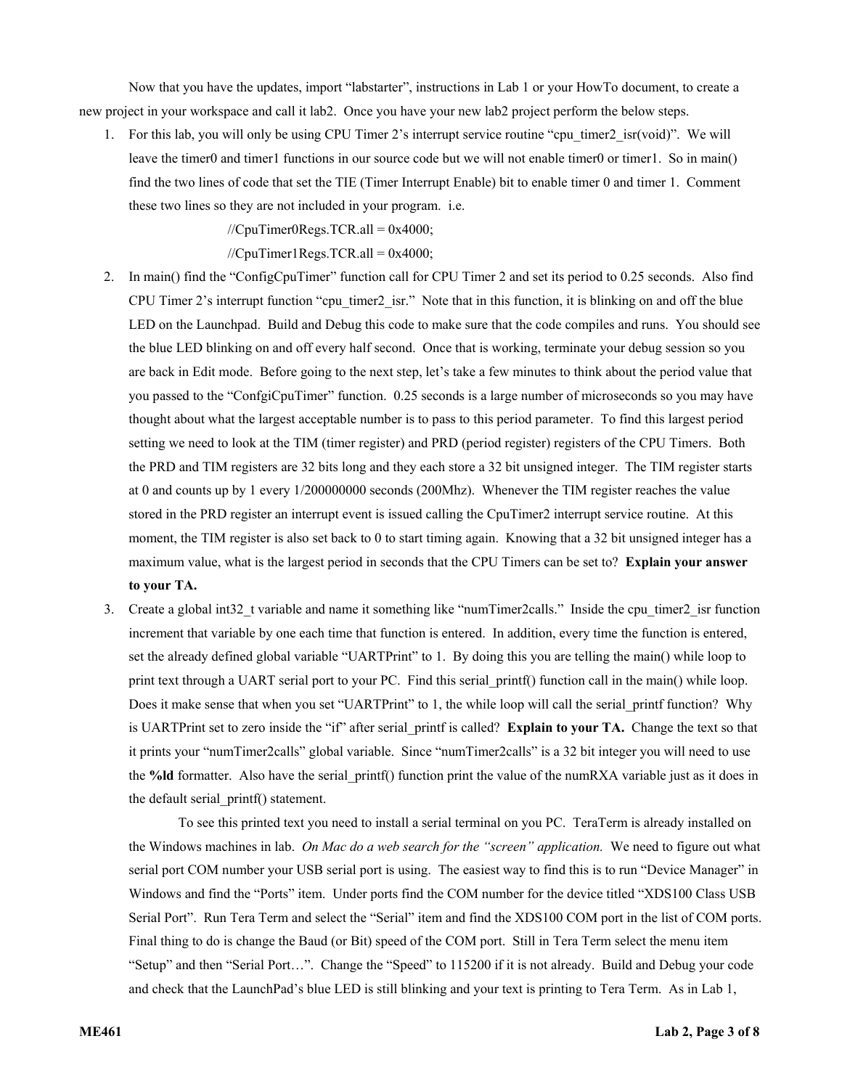Now that you have the updates, import "labstarter", instructions in Lab 1 or your HowTo document, to create a new project in your workspace and call it lab2. Once you have your new lab2 project perform the below steps.

1. For this lab, you will only be using CPU Timer 2's interrupt service routine "cpu\_timer2\_isr(void)". We will leave the timer0 and timer1 functions in our source code but we will not enable timer0 or timer1. So in main() find the two lines of code that set the TIE (Timer Interrupt Enable) bit to enable timer 0 and timer 1. Comment these two lines so they are not included in your program. i.e.

 $//CpuTimer0Regs.TCR.al = 0x4000;$ 

 $//CpuTimer1Regs.TCR.al = 0x4000;$ 

- 2. In main() find the "ConfigCpuTimer" function call for CPU Timer 2 and set its period to 0.25 seconds. Also find CPU Timer 2's interrupt function "cpu\_timer2\_isr." Note that in this function, it is blinking on and off the blue LED on the Launchpad. Build and Debug this code to make sure that the code compiles and runs. You should see the blue LED blinking on and off every half second. Once that is working, terminate your debug session so you are back in Edit mode. Before going to the next step, let's take a few minutes to think about the period value that you passed to the "ConfgiCpuTimer" function. 0.25 seconds is a large number of microseconds so you may have thought about what the largest acceptable number is to pass to this period parameter. To find this largest period setting we need to look at the TIM (timer register) and PRD (period register) registers of the CPU Timers. Both the PRD and TIM registers are 32 bits long and they each store a 32 bit unsigned integer. The TIM register starts at 0 and counts up by 1 every 1/200000000 seconds (200Mhz). Whenever the TIM register reaches the value stored in the PRD register an interrupt event is issued calling the CpuTimer2 interrupt service routine. At this moment, the TIM register is also set back to 0 to start timing again. Knowing that a 32 bit unsigned integer has a maximum value, what is the largest period in seconds that the CPU Timers can be set to? **Explain your answer to your TA.**
- 3. Create a global int32\_t variable and name it something like "numTimer2calls." Inside the cpu\_timer2\_isr function increment that variable by one each time that function is entered. In addition, every time the function is entered, set the already defined global variable "UARTPrint" to 1. By doing this you are telling the main() while loop to print text through a UART serial port to your PC. Find this serial printf() function call in the main() while loop. Does it make sense that when you set "UARTPrint" to 1, the while loop will call the serial printf function? Why is UARTPrint set to zero inside the "if" after serial\_printf is called? **Explain to your TA.** Change the text so that it prints your "numTimer2calls" global variable. Since "numTimer2calls" is a 32 bit integer you will need to use the **%ld** formatter. Also have the serial printf() function print the value of the numRXA variable just as it does in the default serial\_printf() statement.

To see this printed text you need to install a serial terminal on you PC. TeraTerm is already installed on the Windows machines in lab. *On Mac do a web search for the "screen" application.* We need to figure out what serial port COM number your USB serial port is using. The easiest way to find this is to run "Device Manager" in Windows and find the "Ports" item. Under ports find the COM number for the device titled "XDS100 Class USB Serial Port". Run Tera Term and select the "Serial" item and find the XDS100 COM port in the list of COM ports. Final thing to do is change the Baud (or Bit) speed of the COM port. Still in Tera Term select the menu item "Setup" and then "Serial Port…". Change the "Speed" to 115200 if it is not already. Build and Debug your code and check that the LaunchPad's blue LED is still blinking and your text is printing to Tera Term. As in Lab 1,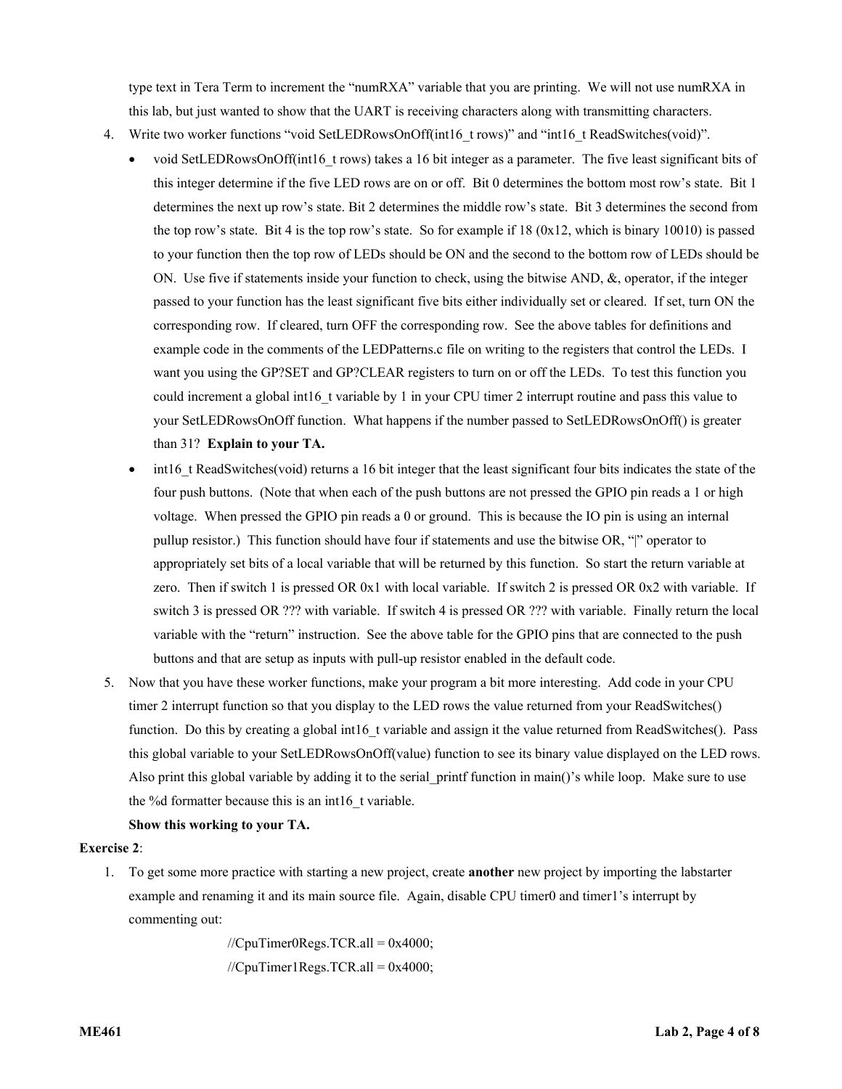type text in Tera Term to increment the "numRXA" variable that you are printing. We will not use numRXA in this lab, but just wanted to show that the UART is receiving characters along with transmitting characters.

- 4. Write two worker functions "void SetLEDRowsOnOff(int16\_t rows)" and "int16\_t ReadSwitches(void)".
	- void SetLEDRowsOnOff(int16\_t rows) takes a 16 bit integer as a parameter. The five least significant bits of this integer determine if the five LED rows are on or off. Bit 0 determines the bottom most row's state. Bit 1 determines the next up row's state. Bit 2 determines the middle row's state. Bit 3 determines the second from the top row's state. Bit 4 is the top row's state. So for example if  $18 (0x12)$ , which is binary 10010) is passed to your function then the top row of LEDs should be ON and the second to the bottom row of LEDs should be ON. Use five if statements inside your function to check, using the bitwise AND, &, operator, if the integer passed to your function has the least significant five bits either individually set or cleared. If set, turn ON the corresponding row. If cleared, turn OFF the corresponding row. See the above tables for definitions and example code in the comments of the LEDPatterns.c file on writing to the registers that control the LEDs. I want you using the GP?SET and GP?CLEAR registers to turn on or off the LEDs. To test this function you could increment a global int16 t variable by 1 in your CPU timer 2 interrupt routine and pass this value to your SetLEDRowsOnOff function. What happens if the number passed to SetLEDRowsOnOff() is greater than 31? **Explain to your TA.**
	- int16 t ReadSwitches(void) returns a 16 bit integer that the least significant four bits indicates the state of the four push buttons. (Note that when each of the push buttons are not pressed the GPIO pin reads a 1 or high voltage. When pressed the GPIO pin reads a 0 or ground. This is because the IO pin is using an internal pullup resistor.) This function should have four if statements and use the bitwise OR, "|" operator to appropriately set bits of a local variable that will be returned by this function. So start the return variable at zero. Then if switch 1 is pressed OR 0x1 with local variable. If switch 2 is pressed OR 0x2 with variable. If switch 3 is pressed OR ??? with variable. If switch 4 is pressed OR ??? with variable. Finally return the local variable with the "return" instruction. See the above table for the GPIO pins that are connected to the push buttons and that are setup as inputs with pull-up resistor enabled in the default code.
- 5. Now that you have these worker functions, make your program a bit more interesting. Add code in your CPU timer 2 interrupt function so that you display to the LED rows the value returned from your ReadSwitches() function. Do this by creating a global int16 t variable and assign it the value returned from ReadSwitches(). Pass this global variable to your SetLEDRowsOnOff(value) function to see its binary value displayed on the LED rows. Also print this global variable by adding it to the serial printf function in main()'s while loop. Make sure to use the %d formatter because this is an int16 t variable.

# **Show this working to your TA.**

## **Exercise 2**:

1. To get some more practice with starting a new project, create **another** new project by importing the labstarter example and renaming it and its main source file. Again, disable CPU timer0 and timer1's interrupt by commenting out:

> $//$ CpuTimer0Regs.TCR.all = 0x4000;  $//$ CpuTimer1Regs.TCR.all = 0x4000;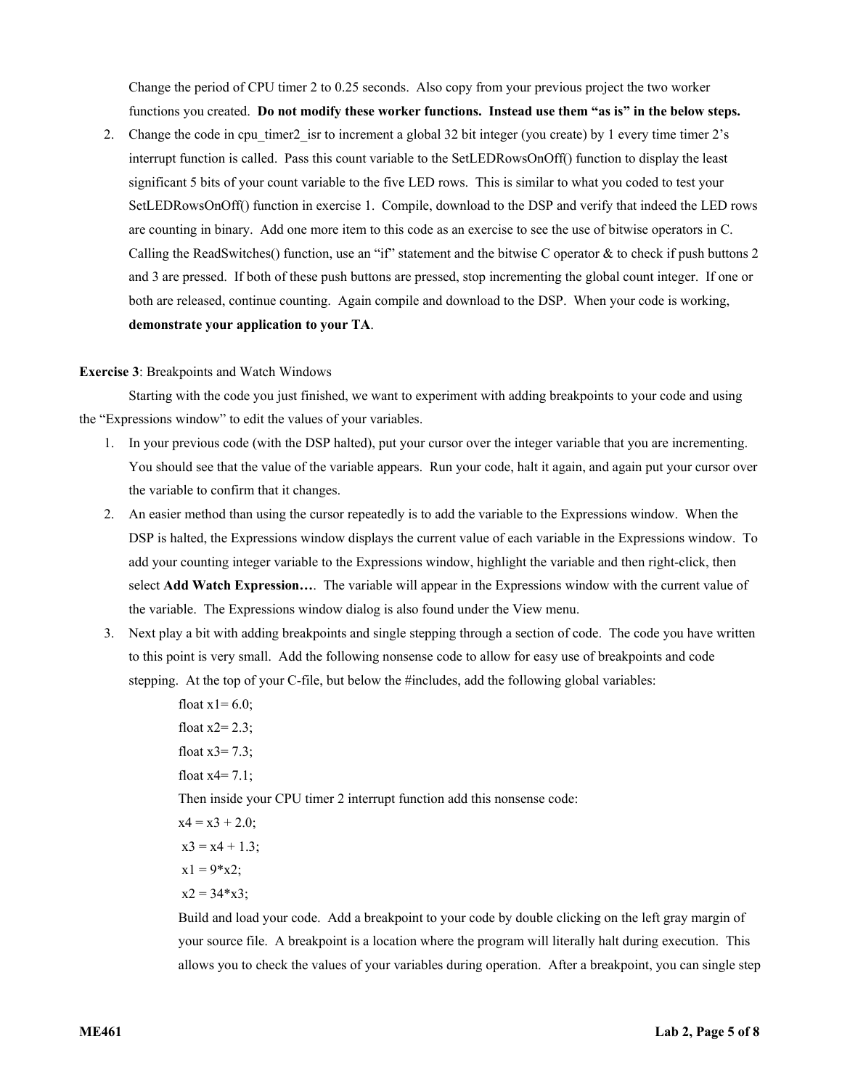Change the period of CPU timer 2 to 0.25 seconds. Also copy from your previous project the two worker functions you created. **Do not modify these worker functions. Instead use them "as is" in the below steps.**

2. Change the code in cpu timer2 isr to increment a global 32 bit integer (you create) by 1 every time timer 2's interrupt function is called. Pass this count variable to the SetLEDRowsOnOff() function to display the least significant 5 bits of your count variable to the five LED rows. This is similar to what you coded to test your SetLEDRowsOnOff() function in exercise 1. Compile, download to the DSP and verify that indeed the LED rows are counting in binary. Add one more item to this code as an exercise to see the use of bitwise operators in C. Calling the ReadSwitches() function, use an "if" statement and the bitwise C operator & to check if push buttons 2 and 3 are pressed. If both of these push buttons are pressed, stop incrementing the global count integer. If one or both are released, continue counting. Again compile and download to the DSP. When your code is working, **demonstrate your application to your TA**.

#### **Exercise 3**: Breakpoints and Watch Windows

Starting with the code you just finished, we want to experiment with adding breakpoints to your code and using the "Expressions window" to edit the values of your variables.

- 1. In your previous code (with the DSP halted), put your cursor over the integer variable that you are incrementing. You should see that the value of the variable appears. Run your code, halt it again, and again put your cursor over the variable to confirm that it changes.
- 2. An easier method than using the cursor repeatedly is to add the variable to the Expressions window. When the DSP is halted, the Expressions window displays the current value of each variable in the Expressions window. To add your counting integer variable to the Expressions window, highlight the variable and then right-click, then select **Add Watch Expression…**. The variable will appear in the Expressions window with the current value of the variable. The Expressions window dialog is also found under the View menu.
- 3. Next play a bit with adding breakpoints and single stepping through a section of code. The code you have written to this point is very small. Add the following nonsense code to allow for easy use of breakpoints and code stepping. At the top of your C-file, but below the #includes, add the following global variables:

float  $x = 6.0$ ; float  $x2=2.3$ ; float  $x3=7.3$ ; float  $x = 7.1$ ; Then inside your CPU timer 2 interrupt function add this nonsense code:  $x4 = x3 + 2.0$ ;  $x3 = x4 + 1.3$ ;  $x1 = 9 \times 2$ ;  $x2 = 34 \times x3$ ;

Build and load your code. Add a breakpoint to your code by double clicking on the left gray margin of your source file. A breakpoint is a location where the program will literally halt during execution. This allows you to check the values of your variables during operation. After a breakpoint, you can single step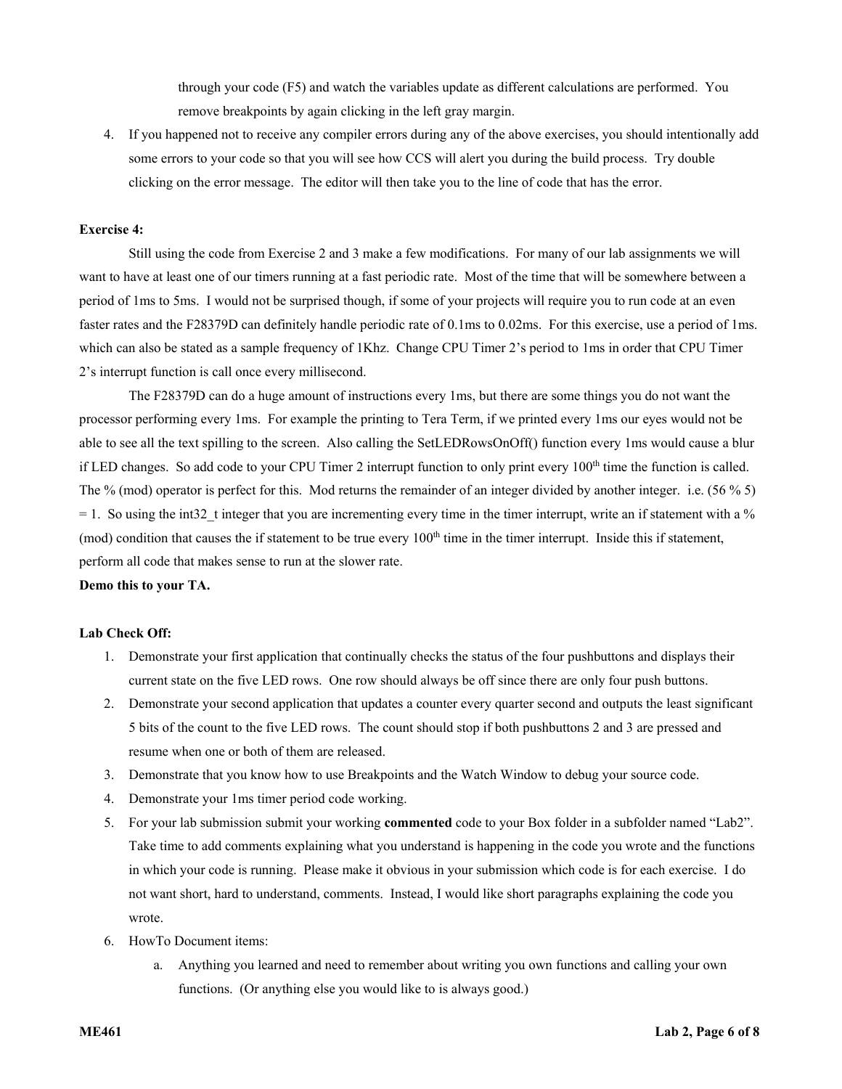through your code (F5) and watch the variables update as different calculations are performed. You remove breakpoints by again clicking in the left gray margin.

4. If you happened not to receive any compiler errors during any of the above exercises, you should intentionally add some errors to your code so that you will see how CCS will alert you during the build process. Try double clicking on the error message. The editor will then take you to the line of code that has the error.

## **Exercise 4:**

Still using the code from Exercise 2 and 3 make a few modifications. For many of our lab assignments we will want to have at least one of our timers running at a fast periodic rate. Most of the time that will be somewhere between a period of 1ms to 5ms. I would not be surprised though, if some of your projects will require you to run code at an even faster rates and the F28379D can definitely handle periodic rate of 0.1ms to 0.02ms. For this exercise, use a period of 1ms. which can also be stated as a sample frequency of 1Khz. Change CPU Timer 2's period to 1ms in order that CPU Timer 2's interrupt function is call once every millisecond.

The F28379D can do a huge amount of instructions every 1ms, but there are some things you do not want the processor performing every 1ms. For example the printing to Tera Term, if we printed every 1ms our eyes would not be able to see all the text spilling to the screen. Also calling the SetLEDRowsOnOff() function every 1ms would cause a blur if LED changes. So add code to your CPU Timer 2 interrupt function to only print every 100<sup>th</sup> time the function is called. The % (mod) operator is perfect for this. Mod returns the remainder of an integer divided by another integer. i.e. (56 % 5)  $= 1$ . So using the int32 t integer that you are incrementing every time in the timer interrupt, write an if statement with a %  $(mod)$  condition that causes the if statement to be true every  $100<sup>th</sup>$  time in the timer interrupt. Inside this if statement, perform all code that makes sense to run at the slower rate.

#### **Demo this to your TA.**

#### **Lab Check Off:**

- 1. Demonstrate your first application that continually checks the status of the four pushbuttons and displays their current state on the five LED rows. One row should always be off since there are only four push buttons.
- 2. Demonstrate your second application that updates a counter every quarter second and outputs the least significant 5 bits of the count to the five LED rows. The count should stop if both pushbuttons 2 and 3 are pressed and resume when one or both of them are released.
- 3. Demonstrate that you know how to use Breakpoints and the Watch Window to debug your source code.
- 4. Demonstrate your 1ms timer period code working.
- 5. For your lab submission submit your working **commented** code to your Box folder in a subfolder named "Lab2". Take time to add comments explaining what you understand is happening in the code you wrote and the functions in which your code is running. Please make it obvious in your submission which code is for each exercise. I do not want short, hard to understand, comments. Instead, I would like short paragraphs explaining the code you wrote.
- 6. HowTo Document items:
	- a. Anything you learned and need to remember about writing you own functions and calling your own functions. (Or anything else you would like to is always good.)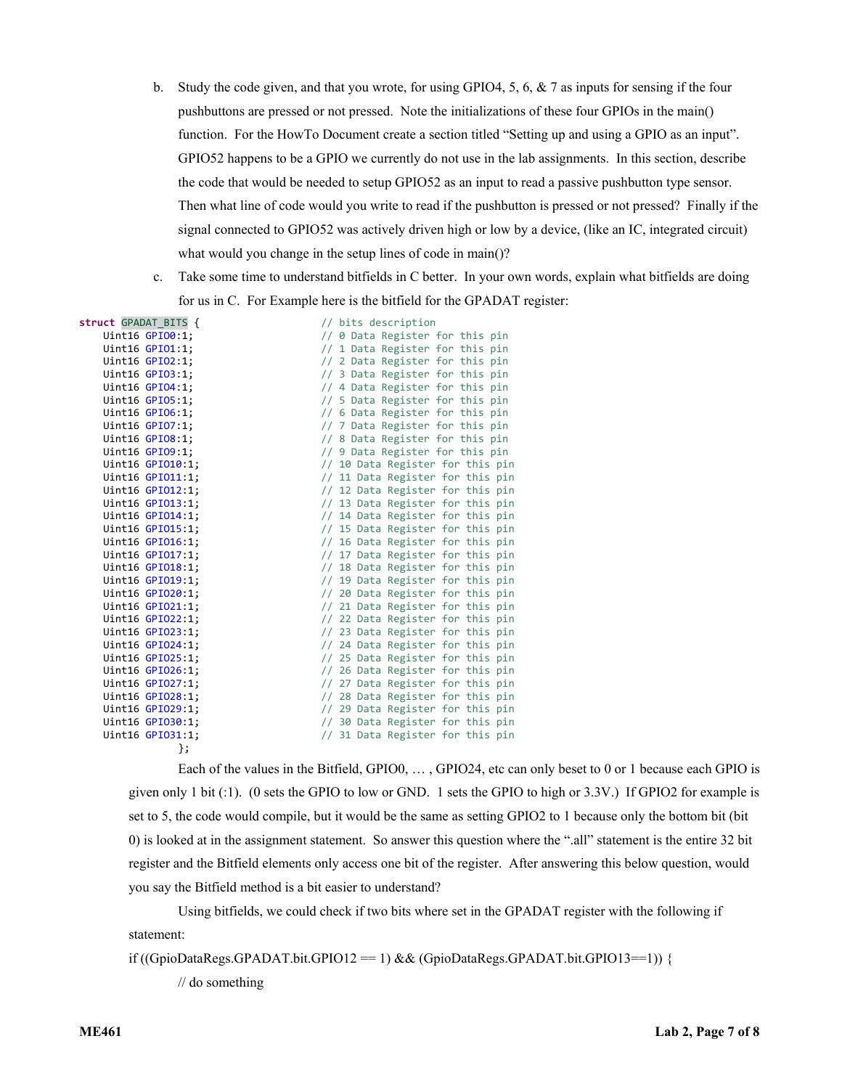- b. Study the code given, and that you wrote, for using GPIO4, 5, 6, & 7 as inputs for sensing if the four pushbuttons are pressed or not pressed. Note the initializations of these four GPIOs in the main() function. For the HowTo Document create a section titled "Setting up and using a GPIO as an input". GPIO52 happens to be a GPIO we currently do not use in the lab assignments. In this section, describe the code that would be needed to setup GPIO52 as an input to read a passive pushbutton type sensor. Then what line of code would you write to read if the pushbutton is pressed or not pressed? Finally if the signal connected to GPIO52 was actively driven high or low by a device, (like an IC, integrated circuit) what would you change in the setup lines of code in main()?
- c. Take some time to understand bitfields in C better. In your own words, explain what bitfields are doing for us in C. For Example here is the bitfield for the GPADAT register:

| struct GPADAT BITS { | // bits description              |
|----------------------|----------------------------------|
| Uint16 GPI00:1;      | // 0 Data Register for this pin  |
| Uint16 GPI01:1;      | // 1 Data Register for this pin  |
| Uint16 GPI02:1;      | // 2 Data Register for this pin  |
| Uint16 GPI03:1;      | // 3 Data Register for this pin  |
| Uint16 GPI04:1;      | // 4 Data Register for this pin  |
| Uint16 GPI05:1;      | // 5 Data Register for this pin  |
| Uint16 GPI06:1;      | // 6 Data Register for this pin  |
| Uint16 GPI07:1;      | // 7 Data Register for this pin  |
| Uint16 GPI08:1;      | // 8 Data Register for this pin  |
| Uint16 GPI09:1;      | // 9 Data Register for this pin  |
| Uint16 GPI010:1;     | // 10 Data Register for this pin |
| Uint16 GPI011:1;     | // 11 Data Register for this pin |
| Uint16 GPI012:1;     | // 12 Data Register for this pin |
| Uint16 GPI013:1;     | // 13 Data Register for this pin |
| Uint16 GPI014:1;     | // 14 Data Register for this pin |
| Uint16 GPI015:1;     | // 15 Data Register for this pin |
| Uint16 GPI016:1;     | // 16 Data Register for this pin |
| Uint16 GPI017:1;     | // 17 Data Register for this pin |
| Uint16 GPI018:1;     | // 18 Data Register for this pin |
| Uint16 GPI019:1;     | // 19 Data Register for this pin |
| Uint16 GPI020:1;     | // 20 Data Register for this pin |
| Uint16 GPI021:1;     | // 21 Data Register for this pin |
| Uint16 GPI022:1;     | // 22 Data Register for this pin |
| Uint16 GPI023:1;     | // 23 Data Register for this pin |
| Uint16 GPI024:1;     | // 24 Data Register for this pin |
| Uint16 GPI025:1;     | // 25 Data Register for this pin |
| Uint16 GPI026:1;     | // 26 Data Register for this pin |
| Uint16 GPI027:1;     | // 27 Data Register for this pin |
| Uint16 GPI028:1;     | // 28 Data Register for this pin |
| Uint16 GPI029:1;     | // 29 Data Register for this pin |
| Uint16 GPI030:1;     | // 30 Data Register for this pin |
| Uint16 GPI031:1;     | // 31 Data Register for this pin |
| };                   |                                  |

Each of the values in the Bitfield, GPIO0, … , GPIO24, etc can only beset to 0 or 1 because each GPIO is given only 1 bit (:1). (0 sets the GPIO to low or GND. 1 sets the GPIO to high or 3.3V.) If GPIO2 for example is set to 5, the code would compile, but it would be the same as setting GPIO2 to 1 because only the bottom bit (bit 0) is looked at in the assignment statement. So answer this question where the ".all" statement is the entire 32 bit register and the Bitfield elements only access one bit of the register. After answering this below question, would you say the Bitfield method is a bit easier to understand?

Using bitfields, we could check if two bits where set in the GPADAT register with the following if statement:

if ((GpioDataRegs.GPADAT.bit.GPIO12 == 1) && (GpioDataRegs.GPADAT.bit.GPIO13==1)) {

// do something